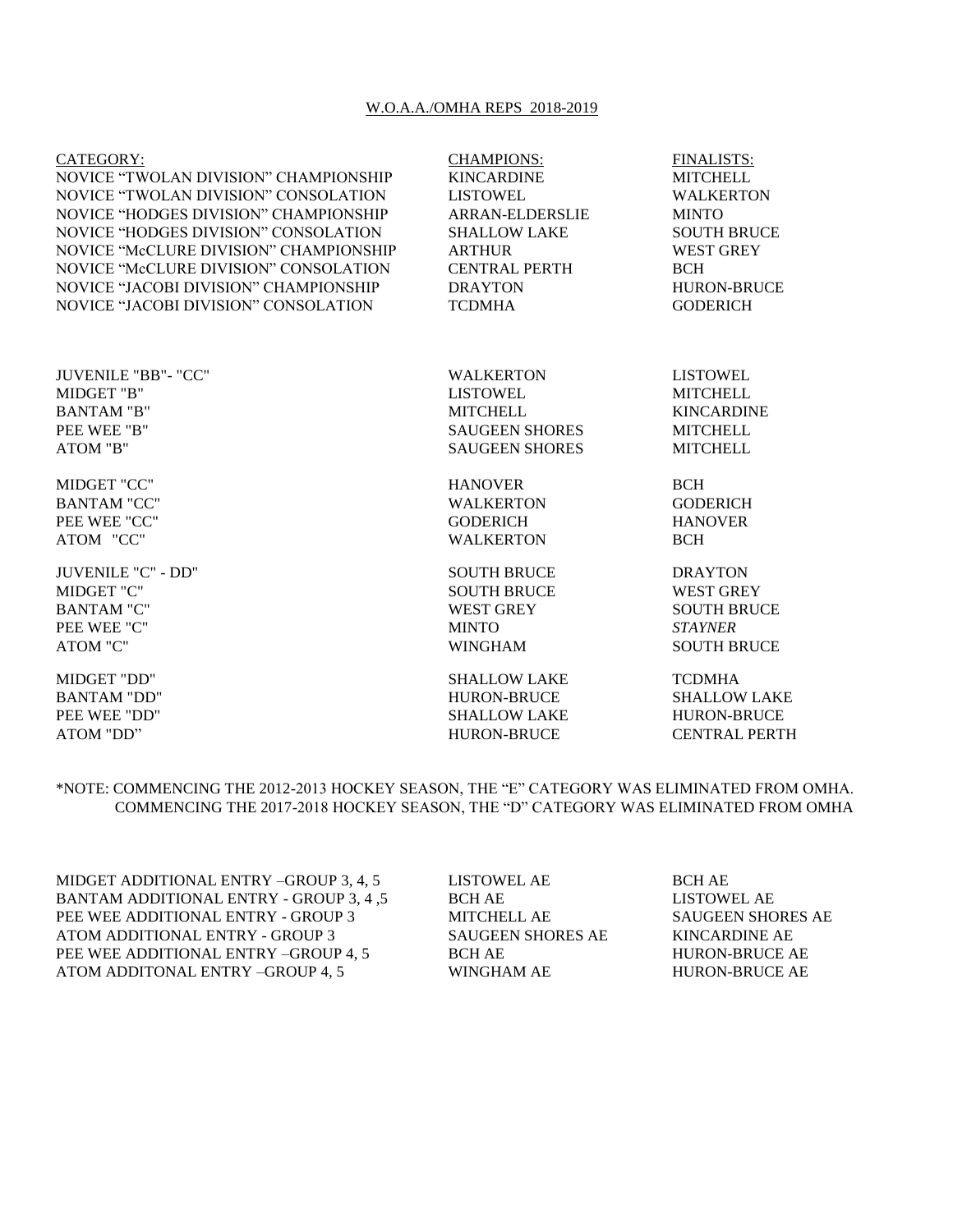## W.O.A.A./OMHA REPS 2018-2019

| CATEGORY:                              | <b>CHAMPIONS:</b>     | <b>FINALISTS:</b>   |
|----------------------------------------|-----------------------|---------------------|
| NOVICE "TWOLAN DIVISION" CHAMPIONSHIP  | <b>KINCARDINE</b>     | <b>MITCHELL</b>     |
| NOVICE "TWOLAN DIVISION" CONSOLATION   | <b>LISTOWEL</b>       | <b>WALKERTON</b>    |
| NOVICE "HODGES DIVISION" CHAMPIONSHIP  | ARRAN-ELDERSLIE       | <b>MINTO</b>        |
| NOVICE "HODGES DIVISION" CONSOLATION   | <b>SHALLOW LAKE</b>   | <b>SOUTH BRUCE</b>  |
| NOVICE "McCLURE DIVISION" CHAMPIONSHIP | <b>ARTHUR</b>         | <b>WEST GREY</b>    |
| NOVICE "McCLURE DIVISION" CONSOLATION  | <b>CENTRAL PERTH</b>  | <b>BCH</b>          |
| NOVICE "JACOBI DIVISION" CHAMPIONSHIP  | <b>DRAYTON</b>        | <b>HURON-BRUCE</b>  |
| NOVICE "JACOBI DIVISION" CONSOLATION   | <b>TCDMHA</b>         | <b>GODERICH</b>     |
| JUVENILE "BB"- "CC"                    | <b>WALKERTON</b>      | <b>LISTOWEL</b>     |
| MIDGET "B"                             | <b>LISTOWEL</b>       | <b>MITCHELL</b>     |
| <b>BANTAM "B"</b>                      | <b>MITCHELL</b>       | <b>KINCARDINE</b>   |
| PEE WEE "B"                            | <b>SAUGEEN SHORES</b> | <b>MITCHELL</b>     |
| ATOM "B"                               | <b>SAUGEEN SHORES</b> | <b>MITCHELL</b>     |
| MIDGET "CC"                            | <b>HANOVER</b>        | <b>BCH</b>          |
| <b>BANTAM "CC"</b>                     | <b>WALKERTON</b>      | <b>GODERICH</b>     |
| PEE WEE "CC"                           | <b>GODERICH</b>       | <b>HANOVER</b>      |
| ATOM "CC"                              | <b>WALKERTON</b>      | <b>BCH</b>          |
| <b>JUVENILE "C" - DD"</b>              | <b>SOUTH BRUCE</b>    | <b>DRAYTON</b>      |
| MIDGET "C"                             | <b>SOUTH BRUCE</b>    | <b>WEST GREY</b>    |
| <b>BANTAM "C"</b>                      | <b>WEST GREY</b>      | <b>SOUTH BRUCE</b>  |
| PEE WEE "C"                            | <b>MINTO</b>          | <b>STAYNER</b>      |
| <b>ATOM "C"</b>                        | <b>WINGHAM</b>        | <b>SOUTH BRUCE</b>  |
| MIDGET "DD"                            | <b>SHALLOW LAKE</b>   | <b>TCDMHA</b>       |
| <b>BANTAM "DD"</b>                     | <b>HURON-BRUCE</b>    | <b>SHALLOW LAKE</b> |
| PEE WEE "DD"                           | <b>SHALLOW LAKE</b>   | <b>HURON-BRUCE</b>  |

ATOM "DD" HURON-BRUCE CENTRAL PERTH

\*NOTE: COMMENCING THE 2012-2013 HOCKEY SEASON, THE "E" CATEGORY WAS ELIMINATED FROM OMHA. COMMENCING THE 2017-2018 HOCKEY SEASON, THE "D" CATEGORY WAS ELIMINATED FROM OMHA

MIDGET ADDITIONAL ENTRY –GROUP 3, 4, 5 LISTOWEL AE BCH AE BANTAM ADDITIONAL ENTRY - GROUP 3, 4 ,5 BCH AE LISTOWEL AE PEE WEE ADDITIONAL ENTRY - GROUP 3 MITCHELL AE SAUGEEN SHORES AE ATOM ADDITIONAL ENTRY - GROUP 3 SAUGEEN SHORES AE KINCARDINE AE PEE WEE ADDITIONAL ENTRY –GROUP 4, 5 BCH AE HURON-BRUCE AE ATOM ADDITONAL ENTRY –GROUP 4, 5 WINGHAM AE HURON-BRUCE AE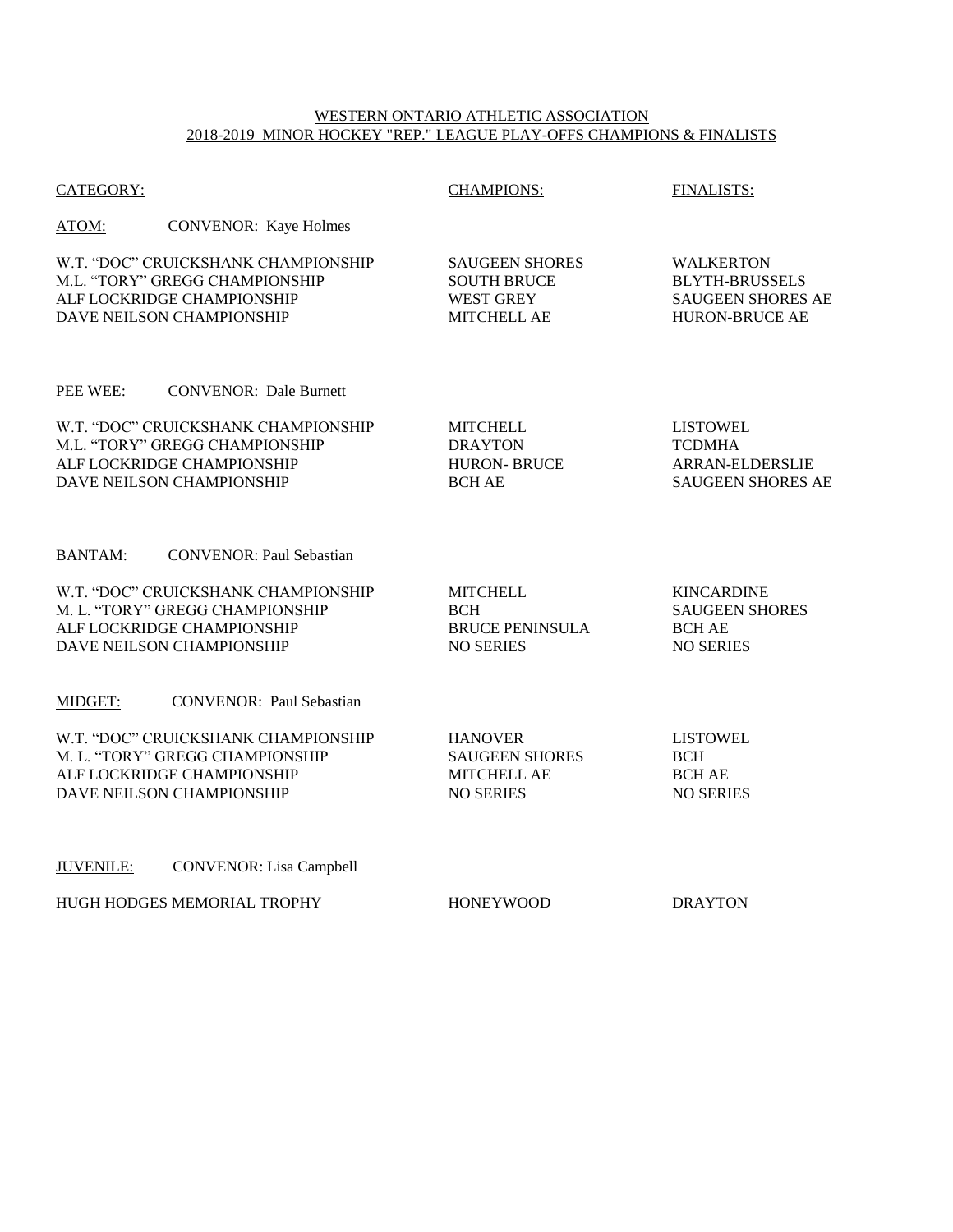## WESTERN ONTARIO ATHLETIC ASSOCIATION 2018-2019 MINOR HOCKEY "REP." LEAGUE PLAY-OFFS CHAMPIONS & FINALISTS

| CATEGORY:                                                                                                                         | <b>CHAMPIONS:</b>                                                              | <b>FINALISTS:</b>                                                                              |
|-----------------------------------------------------------------------------------------------------------------------------------|--------------------------------------------------------------------------------|------------------------------------------------------------------------------------------------|
| ATOM:<br><b>CONVENOR:</b> Kaye Holmes                                                                                             |                                                                                |                                                                                                |
| W.T. "DOC" CRUICKSHANK CHAMPIONSHIP<br>M.L. "TORY" GREGG CHAMPIONSHIP<br>ALF LOCKRIDGE CHAMPIONSHIP<br>DAVE NEILSON CHAMPIONSHIP  | <b>SAUGEEN SHORES</b><br><b>SOUTH BRUCE</b><br><b>WEST GREY</b><br>MITCHELL AE | <b>WALKERTON</b><br><b>BLYTH-BRUSSELS</b><br><b>SAUGEEN SHORES AE</b><br><b>HURON-BRUCE AE</b> |
| <b>CONVENOR: Dale Burnett</b><br>PEE WEE:                                                                                         |                                                                                |                                                                                                |
| W.T. "DOC" CRUICKSHANK CHAMPIONSHIP<br>M.L. "TORY" GREGG CHAMPIONSHIP<br>ALF LOCKRIDGE CHAMPIONSHIP<br>DAVE NEILSON CHAMPIONSHIP  | <b>MITCHELL</b><br><b>DRAYTON</b><br><b>HURON-BRUCE</b><br><b>BCH AE</b>       | <b>LISTOWEL</b><br><b>TCDMHA</b><br>ARRAN-ELDERSLIE<br><b>SAUGEEN SHORES AE</b>                |
| <b>CONVENOR: Paul Sebastian</b><br><b>BANTAM:</b>                                                                                 |                                                                                |                                                                                                |
| W.T. "DOC" CRUICKSHANK CHAMPIONSHIP<br>M. L. "TORY" GREGG CHAMPIONSHIP<br>ALF LOCKRIDGE CHAMPIONSHIP<br>DAVE NEILSON CHAMPIONSHIP | <b>MITCHELL</b><br><b>BCH</b><br><b>BRUCE PENINSULA</b><br><b>NO SERIES</b>    | <b>KINCARDINE</b><br><b>SAUGEEN SHORES</b><br><b>BCH AE</b><br><b>NO SERIES</b>                |
| <b>CONVENOR: Paul Sebastian</b><br>MIDGET:                                                                                        |                                                                                |                                                                                                |
| W.T. "DOC" CRUICKSHANK CHAMPIONSHIP<br>M. L. "TORY" GREGG CHAMPIONSHIP<br>ALF LOCKRIDGE CHAMPIONSHIP<br>DAVE NEILSON CHAMPIONSHIP | <b>HANOVER</b><br><b>SAUGEEN SHORES</b><br>MITCHELL AE<br><b>NO SERIES</b>     | <b>LISTOWEL</b><br><b>BCH</b><br><b>BCH AE</b><br><b>NO SERIES</b>                             |
| <b>JUVENILE:</b><br><b>CONVENOR:</b> Lisa Campbell                                                                                |                                                                                |                                                                                                |
| HUGH HODGES MEMORIAL TROPHY                                                                                                       | <b>HONEYWOOD</b>                                                               | <b>DRAYTON</b>                                                                                 |